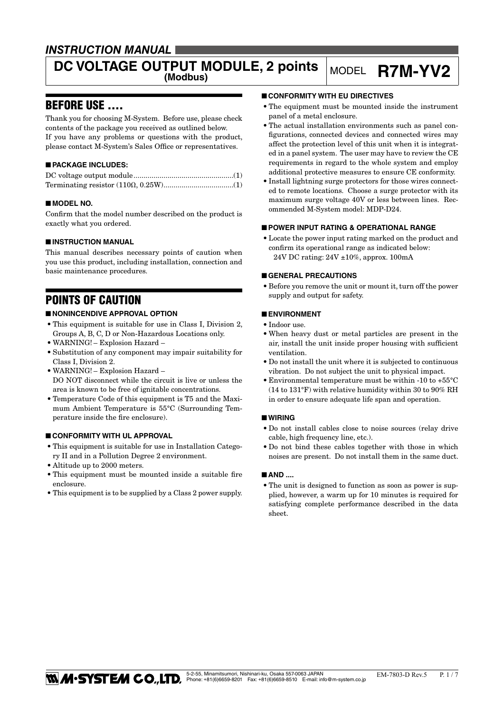# *INSTRUCTION MANUAL*

# **DC VOLTAGE OUTPUT MODULE, 2 points MODEL R7M-YV2**

# BEFORE USE ....

Thank you for choosing M-System. Before use, please check contents of the package you received as outlined below. If you have any problems or questions with the product, please contact M-System's Sales Office or representatives.

### ■ **PACKAGE INCLUDES:**

#### ■ **MODEL NO.**

Confirm that the model number described on the product is exactly what you ordered.

#### ■ **INSTRUCTION MANUAL**

This manual describes necessary points of caution when you use this product, including installation, connection and basic maintenance procedures.

# POINTS OF CAUTION

#### ■ **NONINCENDIVE APPROVAL OPTION**

- • This equipment is suitable for use in Class I, Division 2, Groups A, B, C, D or Non-Hazardous Locations only.
- WARNING! Explosion Hazard –
- • Substitution of any component may impair suitability for Class I, Division 2.
- • WARNING! Explosion Hazard DO NOT disconnect while the circuit is live or unless the area is known to be free of ignitable concentrations.
- • Temperature Code of this equipment is T5 and the Maximum Ambient Temperature is 55°C (Surrounding Temperature inside the fire enclosure).

#### ■ **CONFORMITY WITH UL APPROVAL**

- • This equipment is suitable for use in Installation Category II and in a Pollution Degree 2 environment.
- • Altitude up to 2000 meters.
- This equipment must be mounted inside a suitable fire enclosure.
- This equipment is to be supplied by a Class 2 power supply.

#### ■ **CONFORMITY WITH EU DIRECTIVES**

- The equipment must be mounted inside the instrument panel of a metal enclosure.
- • The actual installation environments such as panel configurations, connected devices and connected wires may affect the protection level of this unit when it is integrated in a panel system. The user may have to review the CE requirements in regard to the whole system and employ additional protective measures to ensure CE conformity.
- Install lightning surge protectors for those wires connected to remote locations. Choose a surge protector with its maximum surge voltage 40V or less between lines. Recommended M-System model: MDP-D24.

#### ■ **POWER INPUT RATING & OPERATIONAL RANGE**

• Locate the power input rating marked on the product and confirm its operational range as indicated below: 24V DC rating: 24V ±10%, approx. 100mA

#### ■ **GENERAL PRECAUTIONS**

• Before you remove the unit or mount it, turn off the power supply and output for safety.

#### ■ **ENVIRONMENT**

- • Indoor use.
- • When heavy dust or metal particles are present in the air, install the unit inside proper housing with sufficient ventilation.
- Do not install the unit where it is subjected to continuous vibration. Do not subject the unit to physical impact.
- Environmental temperature must be within -10 to  $+55^{\circ}$ C (14 to 131°F) with relative humidity within 30 to 90% RH in order to ensure adequate life span and operation.

#### ■ **WIRING**

- • Do not install cables close to noise sources (relay drive cable, high frequency line, etc.).
- • Do not bind these cables together with those in which noises are present. Do not install them in the same duct.

#### ■ AND ....

• The unit is designed to function as soon as power is supplied, however, a warm up for 10 minutes is required for satisfying complete performance described in the data sheet.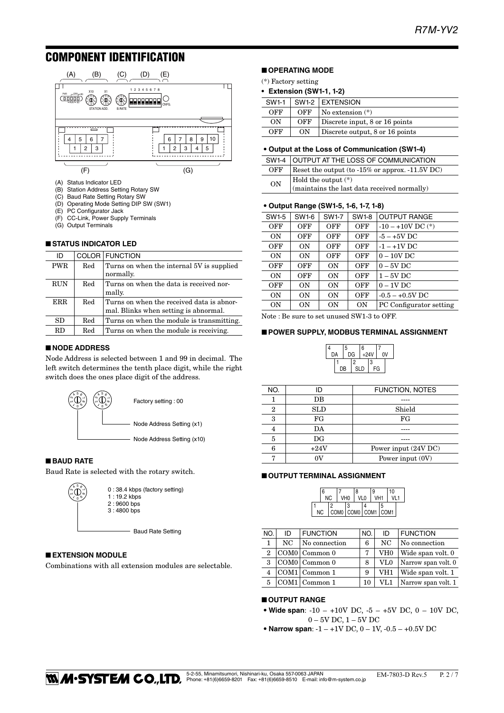# COMPONENT IDENTIFICATION



- (A) Status Indicator LED
- (B) Station Address Setting Rotary SW
- (C) Baud Rate Setting Rotary SW
- (D) Operating Mode Setting DIP SW (SW1)
- (E) PC Configurator Jack<br>(F) CC-Link, Power Supp
- CC-Link, Power Supply Terminals
- (G) Output Terminals

#### ■ **STATUS INDICATOR LED**

| ID         |     | <b>COLOR FUNCTION</b>                                                              |  |
|------------|-----|------------------------------------------------------------------------------------|--|
| <b>PWR</b> | Red | Turns on when the internal 5V is supplied<br>normally.                             |  |
| <b>RUN</b> | Red | Turns on when the data is received nor-<br>mally.                                  |  |
| <b>ERR</b> | Red | Turns on when the received data is abnor-<br>mal. Blinks when setting is abnormal. |  |
| SD         | Red | Turns on when the module is transmitting.                                          |  |
| RD.        | Red | Turns on when the module is receiving.                                             |  |

#### ■ **NODE ADDRESS**

Node Address is selected between 1 and 99 in decimal. The left switch determines the tenth place digit, while the right switch does the ones place digit of the address.



#### ■ **BAUD RATE**

Baud Rate is selected with the rotary switch.



#### ■ **EXTENSION MODULE**

Combinations with all extension modules are selectable.

### ■ **OPERATING MODE**

- (\*) Factory setting
- **Extension (SW1-1, 1-2)**

| $SW1-1$ |     | SW1-2 EXTENSION                 |
|---------|-----|---------------------------------|
| OFF     | OFF | $\sqrt{N}$ No extension $(*)$   |
| ON      | OFF | Discrete input, 8 or 16 points  |
| OFF     | ON  | Discrete output, 8 or 16 points |

#### • **Output at the Loss of Communication (SW1-4)**

|           | SW1-4 OUTPUT AT THE LOSS OF COMMUNICATION                          |  |  |
|-----------|--------------------------------------------------------------------|--|--|
| OFF       | Reset the output (to $-15\%$ or approx. $-11.5V$ DC)               |  |  |
| <b>ON</b> | Hold the output (*)<br>(maintains the last data received normally) |  |  |

#### • **Output Range (SW1-5, 1-6, 1-7, 1-8)**

| SW1-5     | SW1-6     | <b>SW1-7</b> | <b>SW1-8</b> | <b>OUTPUT RANGE</b>     |
|-----------|-----------|--------------|--------------|-------------------------|
| OFF       | OFF       | OFF          | <b>OFF</b>   | $-10 - +10V$ DC $(*)$   |
| ON        | OFF       | OFF          | OFF          | $-5 - +5V$ DC           |
| OFF       | ON        | OFF          | OFF          | $-1 - +1V$ DC           |
| ON        | ON        | OFF          | OFF          | $0-10V$ DC              |
| OFF       | OFF       | ON           | OFF          | $0 - 5V$ DC             |
| ON        | OFF       | 0N           | OFF          | $1-5V$ DC               |
| OFF       | ON        | ON           | OFF          | $0-1V$ DC               |
| <b>ON</b> | 0N        | <b>ON</b>    | OFF          | $-0.5 - +0.5V$ DC       |
| 0N        | <b>ON</b> | <b>ON</b>    | <b>ON</b>    | PC Configurator setting |
|           |           |              |              |                         |

Note : Be sure to set unused SW1-3 to OFF.

#### ■ **POWER SUPPLY, MODBUS TERMINAL ASSIGNMENT**



| NO. |             | <b>FUNCTION, NOTES</b> |
|-----|-------------|------------------------|
|     | DB          |                        |
| 2   | SLD         | Shield                 |
| 3   | FG          | FG                     |
| 4   | DA          |                        |
| 5   | $_{\rm DG}$ |                        |
| 6   | $+24V$      | Power input (24V DC)   |
|     | ov          | Power input $(0V)$     |

#### ■ **OUTPUT TERMINAL ASSIGNMENT**



| NO.            | ID | <b>FUNCTION</b>        | NO. | ID           | <b>FUNCTION</b>     |
|----------------|----|------------------------|-----|--------------|---------------------|
| 1              | NC | No connection          | 6   | NC.          | No connection       |
| $\overline{2}$ |    | $COM0$ Common 0        | 7   | VH0          | Wide span volt. 0   |
| 3              |    | $COM0$ Common 0        | 8   | $_{\rm VLO}$ | Narrow span volt. 0 |
|                |    | $\text{COM1}$ Common 1 | 9   | VH1          | Wide span volt. 1   |
| 5              |    | COM1 Common 1          | 10  | VL1          | Narrow span volt. 1 |

#### ■ **OUTPUT RANGE**

- Wide span:  $-10 +10V$  DC,  $-5 +5V$  DC,  $0 10V$  DC, 0 – 5V DC, 1 – 5V DC
- Narrow span:  $-1 +1V$  DC,  $0 1V$ ,  $-0.5 +0.5V$  DC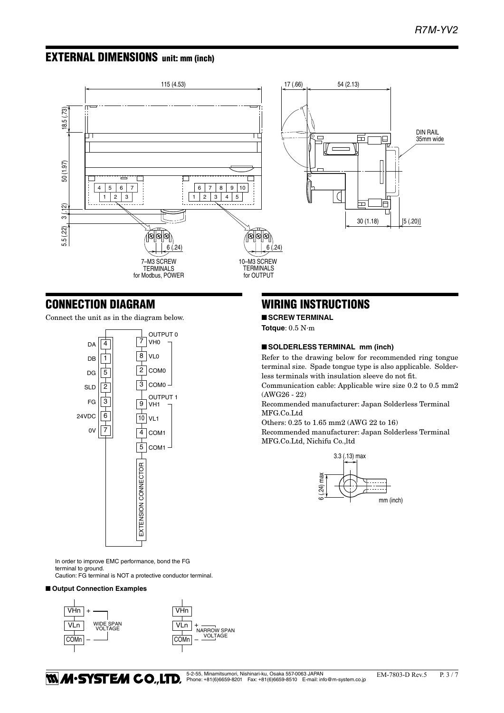# EXTERNAL DIMENSIONS unit: mm (inch)



## CONNECTION DIAGRAM

Connect the unit as in the diagram below.



In order to improve EMC performance, bond the FG terminal to ground. Caution: FG terminal is NOT a protective conductor terminal.

#### ■ Output Connection Examples



# WIRING INSTRUCTIONS

■ **SCREW TERMINAL**

**Totque**: 0.5 N·m

#### ■ **SOLDERLESS TERMINAL** mm (inch)

Refer to the drawing below for recommended ring tongue terminal size. Spade tongue type is also applicable. Solderless terminals with insulation sleeve do not fit.

Communication cable: Applicable wire size 0.2 to 0.5 mm2 (AWG26 - 22)

Recommended manufacturer: Japan Solderless Terminal MFG.Co.Ltd

Others: 0.25 to 1.65 mm2 (AWG 22 to 16)

Recommended manufacturer: Japan Solderless Terminal MFG.Co.Ltd, Nichifu Co.,ltd



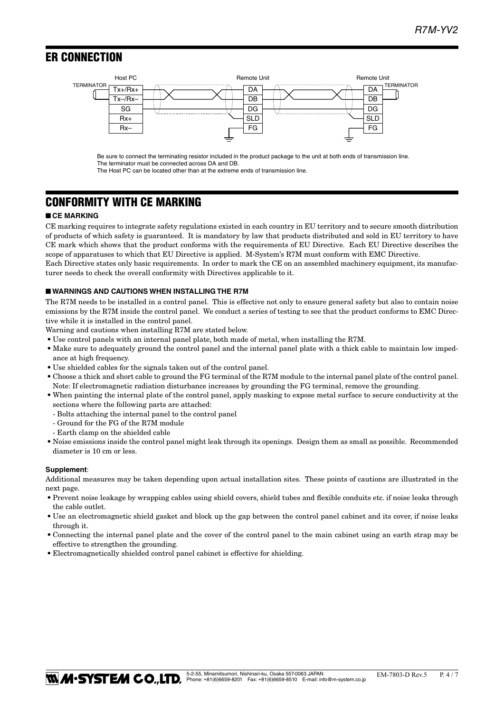# **ER CONNECTION**



Be sure to connect the terminating resistor included in the product package to the unit at both ends of transmission line. The terminator must be connected across DA and DB.

The Host PC can be located other than at the extreme ends of transmission line.

# CONFORMITY WITH CE MARKING

#### ■ **CE MARKING**

CE marking requires to integrate safety regulations existed in each country in EU territory and to secure smooth distribution of products of which safety is guaranteed. It is mandatory by law that products distributed and sold in EU territory to have CE mark which shows that the product conforms with the requirements of EU Directive. Each EU Directive describes the scope of apparatuses to which that EU Directive is applied. M-System's R7M must conform with EMC Directive. Each Directive states only basic requirements. In order to mark the CE on an assembled machinery equipment, its manufac-

turer needs to check the overall conformity with Directives applicable to it.

#### ■ **WARNINGS AND CAUTIONS WHEN INSTALLING THE R7M**

The R7M needs to be installed in a control panel. This is effective not only to ensure general safety but also to contain noise emissions by the R7M inside the control panel. We conduct a series of testing to see that the product conforms to EMC Directive while it is installed in the control panel.

Warning and cautions when installing R7M are stated below.

- • Use control panels with an internal panel plate, both made of metal, when installing the R7M.
- Make sure to adequately ground the control panel and the internal panel plate with a thick cable to maintain low impedance at high frequency.
- $\bullet$  Use shielded cables for the signals taken out of the control panel.
- • Choose a thick and short cable to ground the FG terminal of the R7M module to the internal panel plate of the control panel. Note: If electromagnetic radiation disturbance increases by grounding the FG terminal, remove the grounding.
- • When painting the internal plate of the control panel, apply masking to expose metal surface to secure conductivity at the sections where the following parts are attached:
	- Bolts attaching the internal panel to the control panel
	- Ground for the FG of the R7M module
	- Earth clamp on the shielded cable
- • Noise emissions inside the control panel might leak through its openings. Design them as small as possible. Recommended diameter is 10 cm or less.

#### **Supplement**:

Additional measures may be taken depending upon actual installation sites. These points of cautions are illustrated in the next page.

- • Prevent noise leakage by wrapping cables using shield covers, shield tubes and flexible conduits etc. if noise leaks through the cable outlet.
- Use an electromagnetic shield gasket and block up the gap between the control panel cabinet and its cover, if noise leaks through it.
- • Connecting the internal panel plate and the cover of the control panel to the main cabinet using an earth strap may be effective to strengthen the grounding.
- Electromagnetically shielded control panel cabinet is effective for shielding.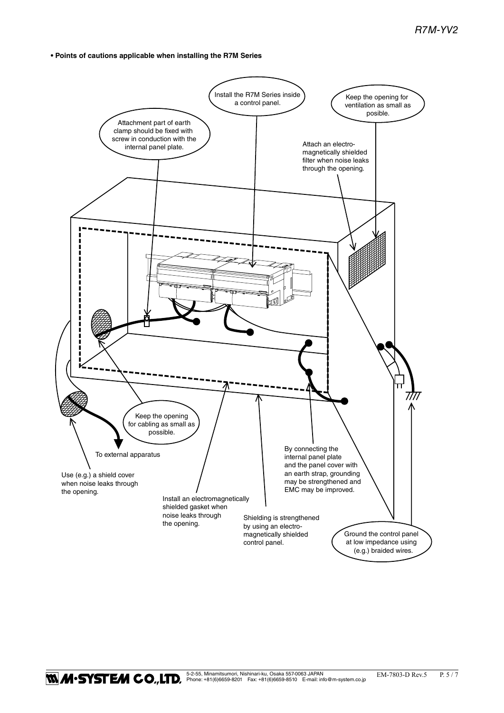**• Points of cautions applicable when installing the R7M Series**



**1.4.5 AN EXACO., LTD**, Phone: +81(6)6659-8201 Fax: +81(6)6659-8510 E-mail: info@m-system.co.jp EM-7803-D Rev.5 P. 5 / 7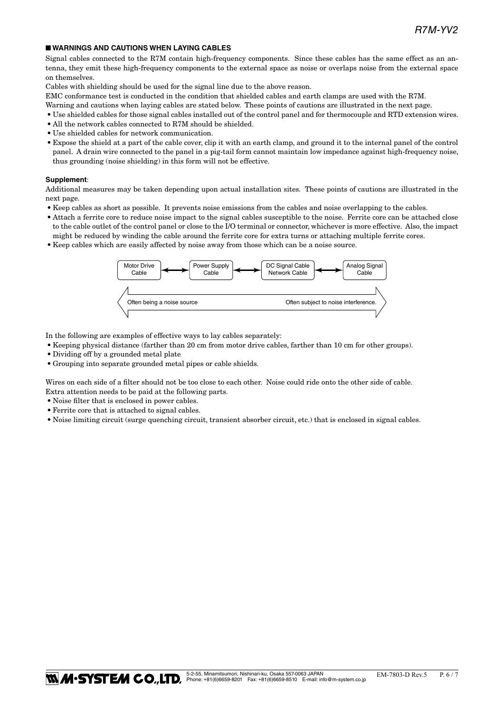#### ■ **WARNINGS AND CAUTIONS WHEN LAYING CABLES**

Signal cables connected to the R7M contain high-frequency components. Since these cables has the same effect as an antenna, they emit these high-frequency components to the external space as noise or overlaps noise from the external space on themselves.

Cables with shielding should be used for the signal line due to the above reason.

EMC conformance test is conducted in the condition that shielded cables and earth clamps are used with the R7M.

- Warning and cautions when laying cables are stated below. These points of cautions are illustrated in the next page.
- • Use shielded cables for those signal cables installed out of the control panel and for thermocouple and RTD extension wires.
- All the network cables connected to R7M should be shielded.
- • Use shielded cables for network communication.
- • Expose the shield at a part of the cable cover, clip it with an earth clamp, and ground it to the internal panel of the control panel. A drain wire connected to the panel in a pig-tail form cannot maintain low impedance against high-frequency noise, thus grounding (noise shielding) in this form will not be effective.

#### **Supplement**:

Additional measures may be taken depending upon actual installation sites. These points of cautions are illustrated in the next page.

- • Keep cables as short as possible. It prevents noise emissions from the cables and noise overlapping to the cables.
- • Attach a ferrite core to reduce noise impact to the signal cables susceptible to the noise. Ferrite core can be attached close to the cable outlet of the control panel or close to the I/O terminal or connector, whichever is more effective. Also, the impact might be reduced by winding the cable around the ferrite core for extra turns or attaching multiple ferrite cores.
- • Keep cables which are easily affected by noise away from those which can be a noise source.



In the following are examples of effective ways to lay cables separately:

- • Keeping physical distance (farther than 20 cm from motor drive cables, farther than 10 cm for other groups).
- Dividing off by a grounded metal plate
- • Grouping into separate grounded metal pipes or cable shields.

Wires on each side of a filter should not be too close to each other. Noise could ride onto the other side of cable. Extra attention needs to be paid at the following parts.

- Noise filter that is enclosed in power cables.
- • Ferrite core that is attached to signal cables.
- • Noise limiting circuit (surge quenching circuit, transient absorber circuit, etc.) that is enclosed in signal cables.